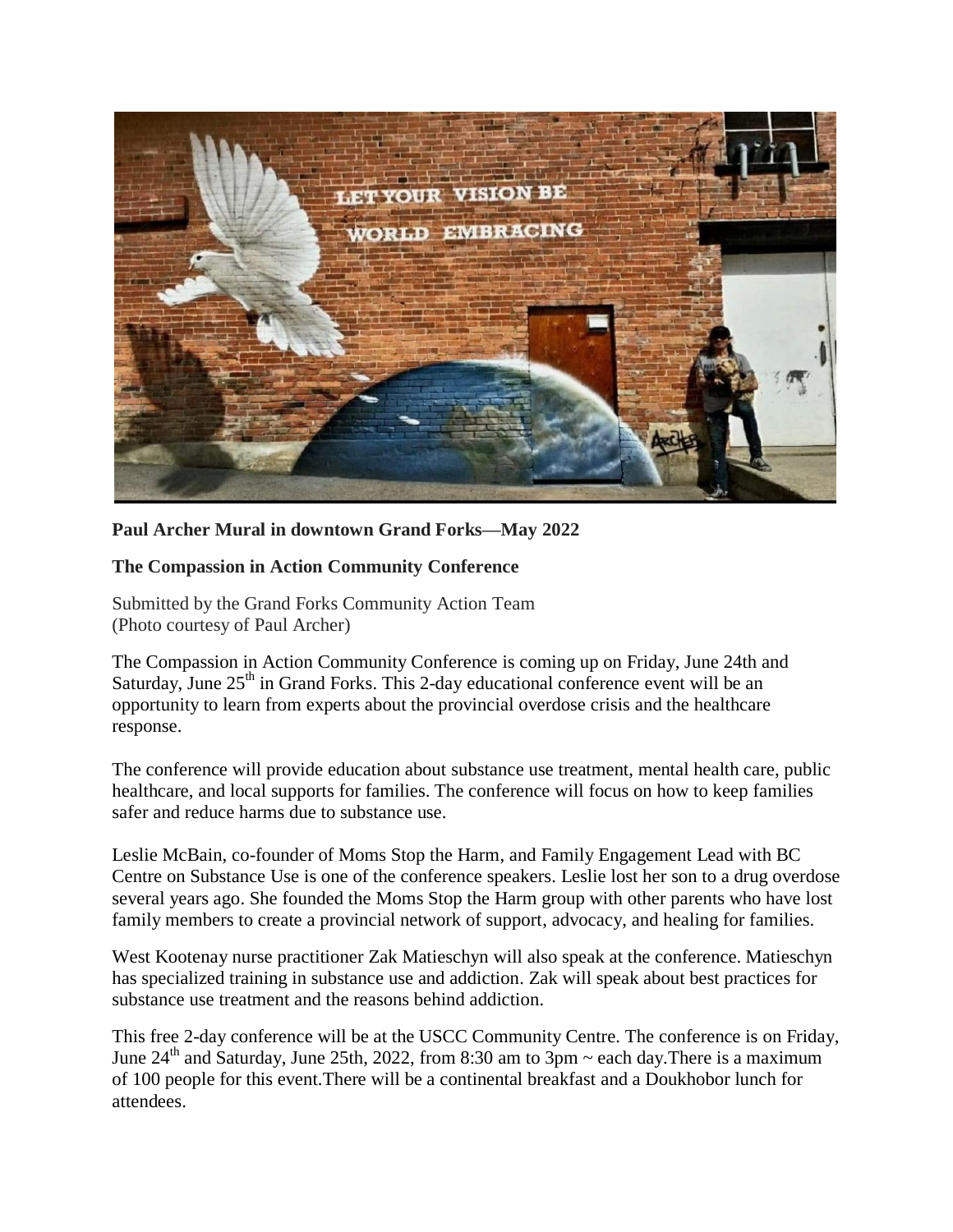

**Paul Archer Mural in downtown Grand Forks—May 2022** 

## **The Compassion in Action Community Conference**

Submitted by the Grand Forks Community Action Team (Photo courtesy of Paul Archer)

The Compassion in Action Community Conference is coming up on Friday, June 24th and Saturday, June  $25<sup>th</sup>$  in Grand Forks. This 2-day educational conference event will be an opportunity to learn from experts about the provincial overdose crisis and the healthcare response.

The conference will provide education about substance use treatment, mental health care, public healthcare, and local supports for families. The conference will focus on how to keep families safer and reduce harms due to substance use.

Leslie McBain, co-founder of Moms Stop the Harm, and Family Engagement Lead with BC Centre on Substance Use is one of the conference speakers. Leslie lost her son to a drug overdose several years ago. She founded the Moms Stop the Harm group with other parents who have lost family members to create a provincial network of support, advocacy, and healing for families.

West Kootenay nurse practitioner Zak Matieschyn will also speak at the conference. Matieschyn has specialized training in substance use and addiction. Zak will speak about best practices for substance use treatment and the reasons behind addiction.

This free 2-day conference will be at the USCC Community Centre. The conference is on Friday, June  $24<sup>th</sup>$  and Saturday, June 25th, 2022, from 8:30 am to 3pm  $\sim$  each day. There is a maximum of 100 people for this event.There will be a continental breakfast and a Doukhobor lunch for attendees.